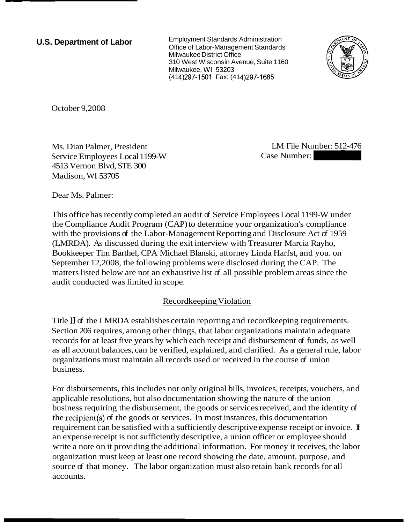**U.S. Department of Labor** 

Employment Standards Administration Office of Labor-Management Standards Milwaukee District Office 310 West Wisconsin Avenue, Suite 1160 Milwaukee, WI 53203 (414) 297-1501 Fax: (414) 297-1685



October 9,2008

Ms. Dian Palmer, President Service Employees Local 1199-W 4513 Vernon Blvd, STE 300 Madison, WI 53705

LM File Number: 512-476

Dear Ms. Palmer:

This office has recently completed an audit of Service Employees Local 1199-W under the Compliance Audit Program (CAP) to determine your organization's compliance with the provisions of the Labor-Management Reporting and Disclosure Act of 1959 (LMRDA). As discussed during the exit interview with Treasurer Marcia Rayho, Bookkeeper Tim Barthel, CPA Michael Blanski, attorney Linda Harfst, and you. on September 12,2008, the following problems were disclosed during the CAP. The matters listed below are not an exhaustive list of all possible problem areas since the audit conducted was limited in scope.

## Recordkeeping Violation

Title I1 of the LMRDA establishes certain reporting and recordkeeping requirements. Section 206 requires, among other things, that labor organizations maintain adequate records for at least five years by which each receipt and disbursement of funds, as well as all account balances, can be verified, explained, and clarified. As a general rule, labor organizations must maintain all records used or received in the course of union business.

For disbursements, this includes not only original bills, invoices, receipts, vouchers, and applicable resolutions, but also documentation showing the nature of the union business requiring the disbursement, the goods or services received, and the identity of the recipient(s) of the goods or services. In most instances, this documentation requirement can be satisfied with a sufficiently descriptive expense receipt or invoice. If an expense receipt is not sufficiently descriptive, a union officer or employee should write a note on it providing the additional information. For money it receives, the labor organization must keep at least one record showing the date, amount, purpose, and source of that money. The labor organization must also retain bank records for all accounts.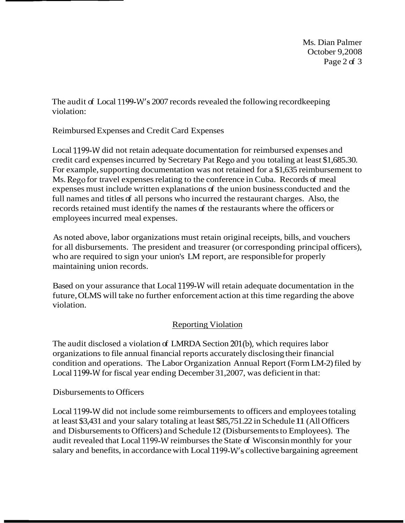Ms. Dian Palmer October 9,2008 Page 2 of 3

The audit of Local 1199-W's 2007 records revealed the following recordkeeping violation:

Reimbursed Expenses and Credit Card Expenses

Local 1199-W did not retain adequate documentation for reimbursed expenses and credit card expenses incurred by Secretary Pat Rego and you totaling at least \$1,685.30. For example, supporting documentation was not retained for a \$1,635 reimbursement to Ms. Rego for travel expenses relating to the conference in Cuba. Records of meal expenses must include written explanations of the union business conducted and the full names and titles of all persons who incurred the restaurant charges. Also, the records retained must identify the names of the restaurants where the officers or employees incurred meal expenses.

As noted above, labor organizations must retain original receipts, bills, and vouchers for all disbursements. The president and treasurer (or corresponding principal officers), who are required to sign your union's LM report, are responsible for properly maintaining union records.

Based on your assurance that Local 1199-W will retain adequate documentation in the future, OLMS will take no further enforcement action at this time regarding the above violation.

## **Reporting Violation**

The audit disclosed a violation of LMRDA Section 201(b), which requires labor organizations to file annual financial reports accurately disclosing their financial condition and operations. The Labor Organization Annual Report (Form LM-2) filed by Local 1199-W for fiscal year ending December 31,2007, was deficient in that:

## Disbursements to Officers

Local 1199-W did not include some reimbursements to officers and employees totaling at least \$3,431 and your salary totaling at least \$85,751.22 in Schedule 11 (All Officers and Disbursements to Officers) and Schedule 12 (Disbursements to Employees). The audit revealed that Local 1199-W reimburses the State of Wisconsin monthly for your salary and benefits, in accordance with Local 1199-W's collective bargaining agreement